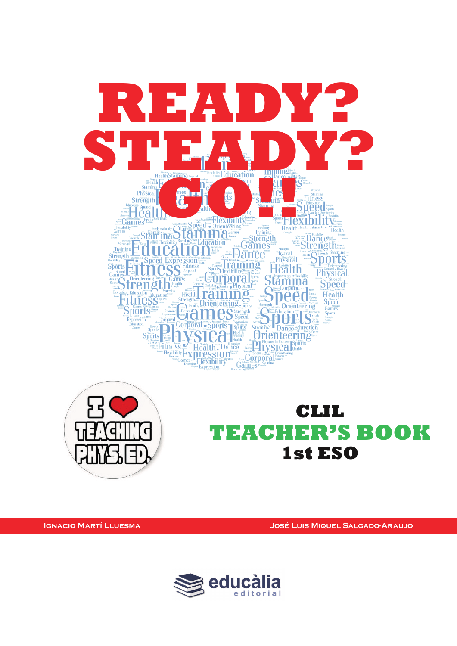



**CLIL TEACHER'S BOOK 1st ESO**

**Ignacio Martí Lluesma José Luis Miquel Salgado-Araujo**

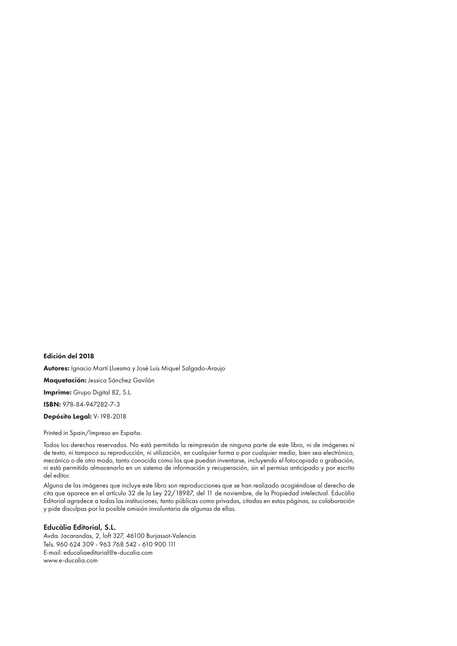Edición del 2018

Autores: Ignacio Martí Lluesma y José Luis Miquel Salgado-Araujo

Maquetación: Jessica Sánchez Gavilán

Imprime: Grupo Digital 82, S.L.

ISBN: 978-84-947282-7-3

Depósito Legal: V-198-2018

Printed in Spain/Impreso en España.

Todos los derechos reservados. No está permitida la reimpresión de ninguna parte de este libro, ni de imágenes ni de texto, ni tampoco su reproducción, ni utilización, en cualquier forma o por cualquier medio, bien sea electrónico, mecánico o de otro modo, tanto conocida como los que puedan inventarse, incluyendo el fotocopiado o grabación, ni está permitido almacenarlo en un sistema de información y recuperación, sin el permiso anticipado y por escrito del editor.

Alguna de las imágenes que incluye este libro son reproducciones que se han realizado acogiéndose al derecho de cita que aparece en el artículo 32 de la Ley 22/18987, del 11 de noviembre, de la Propiedad intelectual. Educàlia Editorial agradece a todas las instituciones, tanto públicas como privadas, citadas en estas páginas, su colaboración y pide disculpas por la posible omisión involuntaria de algunas de ellas.

#### Educàlia Editorial, S.L.

Avda. Jacarandas, 2, loft 327, 46100 Burjassot-Valencia Tels. 960 624 309 - 963 768 542 - 610 900 111 E-mail: educaliaeditorial@e-ducalia.com www.e-ducalia.com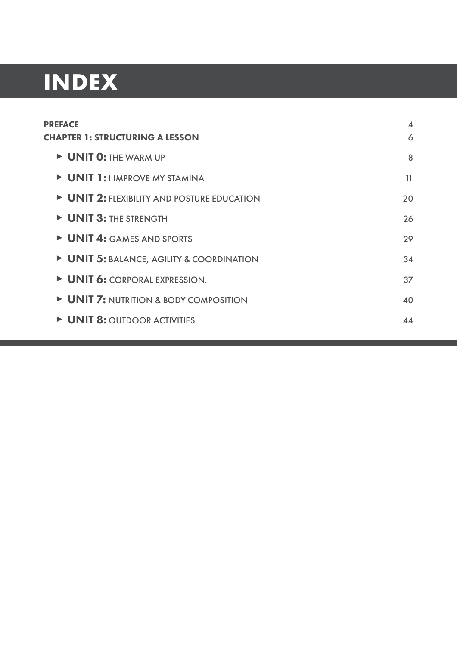# **INDEX**

| <b>PREFACE</b>                                                                                                                                                                                                                       | 4  |
|--------------------------------------------------------------------------------------------------------------------------------------------------------------------------------------------------------------------------------------|----|
| <b>CHAPTER 1: STRUCTURING A LESSON</b>                                                                                                                                                                                               | 6  |
| <b>DESCRIPTIO: THE WARM UP</b>                                                                                                                                                                                                       | 8  |
| <b>DESCRIPTED MARK DUAN STAMINA</b>                                                                                                                                                                                                  | 11 |
| UNIT 2: FLEXIBILITY AND POSTURE EDUCATION                                                                                                                                                                                            | 20 |
| D UNIT 3: THE STRENGTH                                                                                                                                                                                                               | 26 |
| UNIT 4: GAMES AND SPORTS                                                                                                                                                                                                             | 29 |
| UNIT 5: BALANCE, AGILITY & COORDINATION                                                                                                                                                                                              | 34 |
| UNIT 6: CORPORAL EXPRESSION.                                                                                                                                                                                                         | 37 |
| • UNIT 7: NUTRITION & BODY COMPOSITION                                                                                                                                                                                               | 40 |
| <b>DESIGNATION DE LA PROPERTION DE LA PROPERTIE DE LA PROPERTIE DE LA PROPERTIE DE LA PROPERTIE DE LA PROPERTIE DE LA PROPERTIE DE LA PROPERTIE DE LA PROPERTIE DE LA PROPERTIE DE LA PROPERTIE DE LA PROPERTIE DE LA PROPERTIE </b> | 44 |
|                                                                                                                                                                                                                                      |    |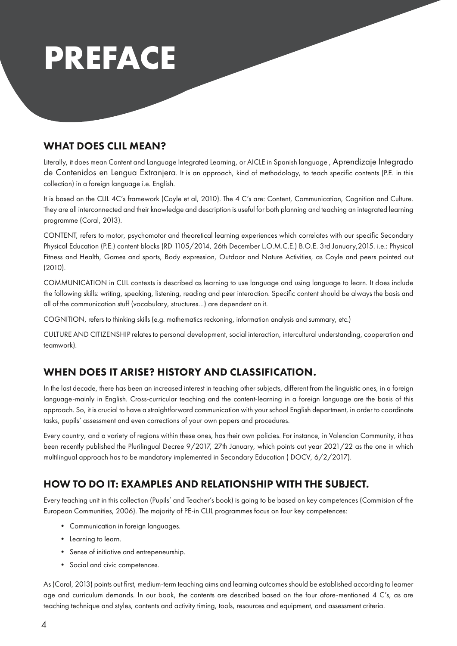

# WHAT DOES CLIL MEAN?

Literally, it does mean Content and Language Integrated Learning, or AICLE in Spanish language , Aprendizaje Integrado de Contenidos en Lengua Extranjera. It is an approach, kind of methodology, to teach specific contents (P.E. in this collection) in a foreign language i.e. English.

It is based on the CLIL 4C's framework (Coyle et al, 2010). The 4 C's are: Content, Communication, Cognition and Culture. They are all interconnected and their knowledge and description is useful for both planning and teaching an integrated learning programme (Coral, 2013).

CONTENT, refers to motor, psychomotor and theoretical learning experiences which correlates with our specific Secondary Physical Education (P.E.) content blocks (RD 1105/2014, 26th December L.O.M.C.E.) B.O.E. 3rd January,2015. i.e.: Physical Fitness and Health, Games and sports, Body expression, Outdoor and Nature Activities, as Coyle and peers pointed out (2010).

COMMUNICATION in CLIL contexts is described as learning to use language and using language to learn. It does include the following skills: writing, speaking, listening, reading and peer interaction. Specific content should be always the basis and all of the communication stuff (vocabulary, structures…) are dependent on it.

COGNITION, refers to thinking skills (e.g. mathematics reckoning, information analysis and summary, etc.)

CULTURE AND CITIZENSHIP relates to personal development, social interaction, intercultural understanding, cooperation and teamwork).

# WHEN DOES IT ARISE? HISTORY AND CLASSIFICATION.

In the last decade, there has been an increased interest in teaching other subjects, different from the linguistic ones, in a foreign language-mainly in English. Cross-curricular teaching and the content-learning in a foreign language are the basis of this approach. So, it is crucial to have a straightforward communication with your school English department, in order to coordinate tasks, pupils' assessment and even corrections of your own papers and procedures.

Every country, and a variety of regions within these ones, has their own policies. For instance, in Valencian Community, it has been recently published the Plurilingual Decree 9/2017, 27th January, which points out year 2021/22 as the one in which multilingual approach has to be mandatory implemented in Secondary Education ( DOCV, 6/2/2017).

# HOW TO DO IT: EXAMPLES AND RELATIONSHIP WITH THE SUBJECT.

Every teaching unit in this collection (Pupils' and Teacher's book) is going to be based on key competences (Commision of the European Communities, 2006). The majority of PE-in CLIL programmes focus on four key competences:

- Communication in foreign languages.
- Learning to learn.
- Sense of initiative and entrepeneurship.
- Social and civic competences.

As (Coral, 2013) points out first, medium-term teaching aims and learning outcomes should be established according to learner age and curriculum demands. In our book, the contents are described based on the four afore-mentioned 4 C's, as are teaching technique and styles, contents and activity timing, tools, resources and equipment, and assessment criteria.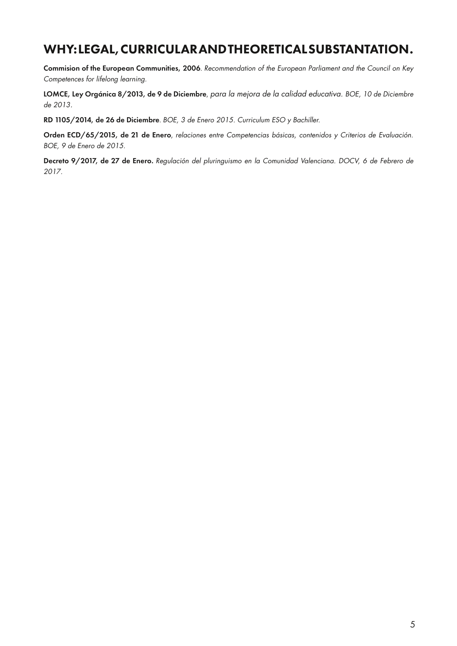# WHY: LEGAL, CURRICULAR AND THEORETICAL SUBSTANTATION.

Commision of the European Communities, 2006. *Recommendation of the European Parliament and the Council on Key Competences for lifelong learning.*

LOMCE, Ley Orgánica 8/2013, de 9 de Diciembre, *para la mejora de la calidad educativa. BOE, 10 de Diciembre de 2013.*

RD 1105/2014, de 26 de Diciembre. *BOE, 3 de Enero 2015. Curriculum ESO y Bachiller.*

Orden ECD/65/2015, de 21 de Enero, *relaciones entre Competencias básicas, contenidos y Criterios de Evaluación. BOE, 9 de Enero de 2015.*

Decreto 9/2017, de 27 de Enero. *Regulación del pluringuismo en la Comunidad Valenciana. DOCV, 6 de Febrero de 2017.*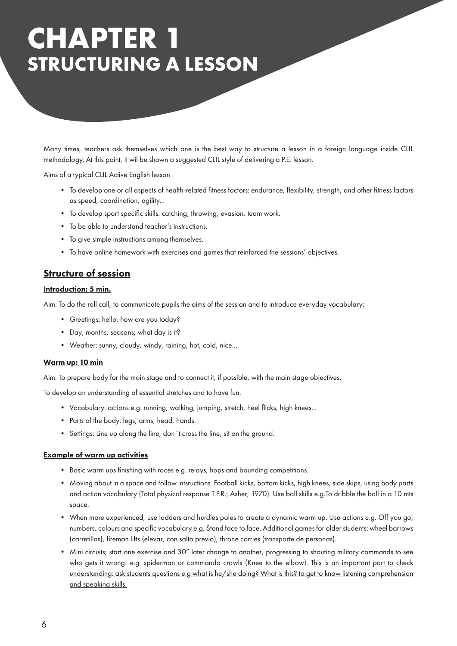# **CHAPTER 1 STRUCTURING A LESSON**

Many times, teachers ask themselves which one is the best way to structure a lesson in a foreign language inside CLIL methodology. At this point, it wil be shown a suggested CLIL style of delivering a P.E. lesson.

Aims of a typical CLIL Active English lesson

- To develop one or all aspects of health-related fitness factors: endurance, flexibility, strength, and other fitness factors as speed, coordination, agility...
- To develop sport specific skills: catching, throwing, evasion, team work.
- To be able to understand teacher's instructions.
- To give simple instructions among themselves.
- To have online homework with exercises and games that reinforced the sessions' objectives.

## Structure of session

## Introduction: 5 min.

Aim: To do the roll call, to communicate pupils the aims of the session and to introduce everyday vocabulary:

- Greetings: hello, how are you today?
- Day, months, seasons; what day is it?
- Weather: sunny, cloudy, windy, raining, hot, cold, nice...

## Warm up: 10 min

Aim: To prepare body for the main stage and to connect it, if possible, with the main stage objectives.

To develop an understanding of essential stretches and to have fun.

- Vocabulary: actions e.g. running, walking, jumping, stretch, heel flicks, high knees...
- Parts of the body: legs, arms, head, hands.
- Settings: Line up along the line, don´t cross the line, sit on the ground.

## Example of warm up activities

- Basic warm ups finishing with races e.g. relays, hops and bounding competitions.
- Moving about in a space and follow intsructions. Football kicks, bottom kicks, high knees, side skips, using body parts and action vocabulary (Total physical response T.P.R.; Asher, 1970). Use ball skills e.g.To dribble the ball in a 10 mts space.
- When more experienced, use ladders and hurdles poles to create a dynamic warm up. Use actions e.g. Off you go, numbers, colours and specific vocabulary e.g. Stand face to face. Additional games for older students: wheel barrows (carretillas), fireman lifts (elevar, con salto previo), throne carries (transporte de personas).
- Mini circuits; start one exercise and 30" later change to another, progressing to shouting military commands to see who gets it wrong! e.g. spiderman or commando crawls (Knee to the elbow). This is an important part to check understanding: ask students questions e.g what is he/she doing? What is this? to get to know listening comprehension and speaking skills.